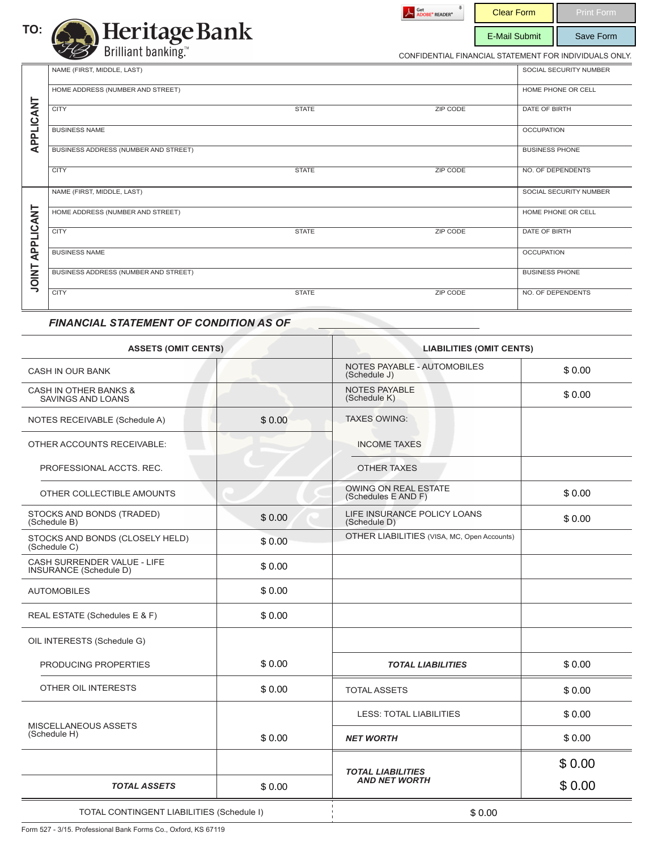



Clear Form | Print Form E-Mail Submit | Save Form

CONFIDENTIAL FINANCIAL STATEMENT FOR INDIVIDUALS ONLY.

|              | NAME (FIRST, MIDDLE, LAST)           |              |                 | SOCIAL SECURITY NUMBER |
|--------------|--------------------------------------|--------------|-----------------|------------------------|
|              | HOME ADDRESS (NUMBER AND STREET)     |              |                 | HOME PHONE OR CELL     |
| APPLICANT    | <b>CITY</b>                          | <b>STATE</b> | <b>ZIP CODE</b> | <b>DATE OF BIRTH</b>   |
|              | <b>BUSINESS NAME</b>                 |              |                 | <b>OCCUPATION</b>      |
|              | BUSINESS ADDRESS (NUMBER AND STREET) |              |                 | <b>BUSINESS PHONE</b>  |
|              | <b>CITY</b>                          | <b>STATE</b> | <b>ZIP CODE</b> | NO. OF DEPENDENTS      |
|              | NAME (FIRST, MIDDLE, LAST)           |              |                 | SOCIAL SECURITY NUMBER |
|              | HOME ADDRESS (NUMBER AND STREET)     |              |                 | HOME PHONE OR CELL     |
| APPLICANT    | <b>CITY</b>                          | <b>STATE</b> | ZIP CODE        | DATE OF BIRTH          |
|              | <b>BUSINESS NAME</b>                 |              |                 | <b>OCCUPATION</b>      |
| <b>TNIOL</b> | BUSINESS ADDRESS (NUMBER AND STREET) |              |                 | <b>BUSINESS PHONE</b>  |
|              | <b>CITY</b>                          | <b>STATE</b> | ZIP CODE        | NO. OF DEPENDENTS      |

# *FINANCIAL STATEMENT OF CONDITION AS OF*

| <b>ASSETS (OMIT CENTS)</b>                                   |        | <b>LIABILITIES (OMIT CENTS)</b>             |        |  |
|--------------------------------------------------------------|--------|---------------------------------------------|--------|--|
| <b>CASH IN OUR BANK</b>                                      |        | NOTES PAYABLE - AUTOMOBILES<br>(Schedule J) | \$0.00 |  |
| <b>CASH IN OTHER BANKS &amp;</b><br><b>SAVINGS AND LOANS</b> |        | <b>NOTES PAYABLE</b><br>(Schedule K)        | \$0.00 |  |
| NOTES RECEIVABLE (Schedule A)                                | \$0.00 | <b>TAXES OWING:</b>                         |        |  |
| OTHER ACCOUNTS RECEIVABLE:                                   |        | <b>INCOME TAXES</b>                         |        |  |
| PROFESSIONAL ACCTS, REC.                                     |        | <b>OTHER TAXES</b>                          |        |  |
| OTHER COLLECTIBLE AMOUNTS                                    |        | OWING ON REAL ESTATE<br>(Schedules E AND F) | \$0.00 |  |
| STOCKS AND BONDS (TRADED)<br>(Schedule B)                    | \$0.00 | LIFE INSURANCE POLICY LOANS<br>(Schedule D) | \$0.00 |  |
| STOCKS AND BONDS (CLOSELY HELD)<br>(Schedule C)              | \$0.00 | OTHER LIABILITIES (VISA, MC, Open Accounts) |        |  |
| CASH SURRENDER VALUE - LIFE<br>INSURANCE (Schedule D)        | \$0.00 |                                             |        |  |
| <b>AUTOMOBILES</b>                                           | \$0.00 |                                             |        |  |
| REAL ESTATE (Schedules E & F)                                | \$0.00 |                                             |        |  |
| OIL INTERESTS (Schedule G)                                   |        |                                             |        |  |
| PRODUCING PROPERTIES                                         | \$0.00 | <b>TOTAL LIABILITIES</b>                    | \$0.00 |  |
| OTHER OIL INTERESTS                                          | \$0.00 | <b>TOTAL ASSETS</b>                         | \$0.00 |  |
|                                                              |        | <b>LESS: TOTAL LIABILITIES</b>              | \$0.00 |  |
| MISCELLANEOUS ASSETS<br>(Schedule H)                         | \$0.00 | <b>NET WORTH</b>                            | \$0.00 |  |
|                                                              |        | <b>TOTAL LIABILITIES</b>                    | \$0.00 |  |
| \$0.00<br><b>TOTAL ASSETS</b>                                |        | <b>AND NET WORTH</b>                        | \$0.00 |  |
| TOTAL CONTINGENT LIABILITIES (Schedule I)                    |        | \$0.00                                      |        |  |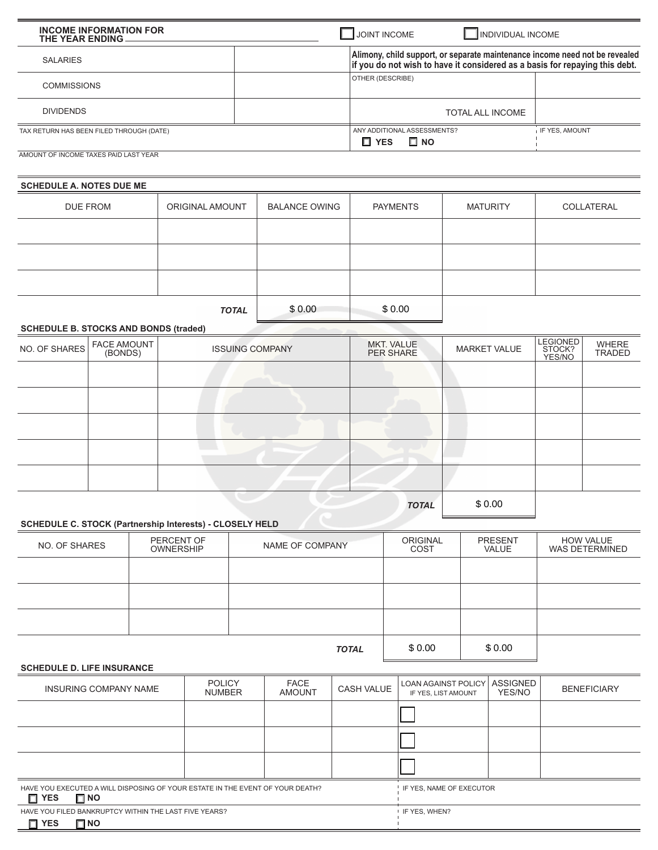| <b>INCOME INFORMATION FOR</b><br>THE YEAR ENDING. | JOINT INCOME<br>INDIVIDUAL INCOME                                                                                                                          |                |  |
|---------------------------------------------------|------------------------------------------------------------------------------------------------------------------------------------------------------------|----------------|--|
| <b>SALARIES</b>                                   | Alimony, child support, or separate maintenance income need not be revealed<br>if you do not wish to have it considered as a basis for repaying this debt. |                |  |
| <b>COMMISSIONS</b>                                | <b>OTHER (DESCRIBE)</b>                                                                                                                                    |                |  |
| <b>DIVIDENDS</b>                                  | <b>TOTAL ALL INCOME</b>                                                                                                                                    |                |  |
| TAX RETURN HAS BEEN FILED THROUGH (DATE)          | ANY ADDITIONAL ASSESSMENTS?<br>$\Box$ NO<br>Π YES                                                                                                          | IF YES, AMOUNT |  |
| AMOUNT OF INCOME TAXES PAID LAST YEAR             |                                                                                                                                                            |                |  |

## **SCHEDULE A. NOTES DUE ME**

| DUE FROM                                     | ORIGINAL AMOUNT | <b>BALANCE OWING</b> | <b>PAYMENTS</b> | <b>MATURITY</b> | COLLATERAL |
|----------------------------------------------|-----------------|----------------------|-----------------|-----------------|------------|
|                                              |                 |                      |                 |                 |            |
|                                              |                 |                      |                 |                 |            |
|                                              |                 |                      |                 |                 |            |
|                                              | <b>TOTAL</b>    | \$0.00               | \$0.00          |                 |            |
| <b>SCHEDULE B. STOCKS AND BONDS (traded)</b> |                 |                      |                 |                 |            |

# **SCHEDULE B. STOCKS AND BONDS (traded)**

| NO. OF SHARES | <b>FACE AMOUNT</b><br>(BONDS) | <b>ISSUING COMPANY</b> | MKT. VALUE<br>PER SHARE | <b>MARKET VALUE</b> | <b>LEGIONED</b><br>STOCK?<br>YES/NO | WHERE<br>TRADED |
|---------------|-------------------------------|------------------------|-------------------------|---------------------|-------------------------------------|-----------------|
|               |                               |                        |                         |                     |                                     |                 |
|               |                               |                        |                         |                     |                                     |                 |
|               |                               |                        |                         |                     |                                     |                 |
|               |                               |                        |                         |                     |                                     |                 |
|               |                               |                        |                         |                     |                                     |                 |
|               |                               |                        | <b>TOTAL</b>            | \$0.00              |                                     |                 |

## **SCHEDULE C. STOCK (Partnership Interests) - CLOSELY HELD**

| NO. OF SHARES | PERCENT OF<br><b>OWNERSHIP</b> | NAME OF COMPANY | <b>ORIGINAL</b><br>COST | <b>PRESENT</b><br><b>VALUE</b> | <b>HOW VALUE</b><br>WAS DETERMINED |
|---------------|--------------------------------|-----------------|-------------------------|--------------------------------|------------------------------------|
|               |                                |                 |                         |                                |                                    |
|               |                                |                 |                         |                                |                                    |
|               |                                |                 |                         |                                |                                    |
|               |                                | \$0.00          | \$0.00                  |                                |                                    |

### **SCHEDULE D. LIFE INSURANCE**

| INSURING COMPANY NAME                                                                                    | <b>POLICY</b><br><b>NUMBER</b> | <b>FACE</b><br><b>AMOUNT</b>          | <b>CASH VALUE</b> | LOAN AGAINST POLICY ASSIGNED<br>IF YES, LIST AMOUNT | YES/NO | <b>BENEFICIARY</b> |
|----------------------------------------------------------------------------------------------------------|--------------------------------|---------------------------------------|-------------------|-----------------------------------------------------|--------|--------------------|
|                                                                                                          |                                |                                       |                   |                                                     |        |                    |
|                                                                                                          |                                |                                       |                   |                                                     |        |                    |
|                                                                                                          |                                |                                       |                   |                                                     |        |                    |
| HAVE YOU EXECUTED A WILL DISPOSING OF YOUR ESTATE IN THE EVENT OF YOUR DEATH?<br>$\Box$ NO<br>$\Box$ YES |                                | <sup>1</sup> IF YES, NAME OF EXECUTOR |                   |                                                     |        |                    |
|                                                                                                          |                                |                                       |                   |                                                     |        |                    |

|            | HAVE YOU FILED BANKRUPTCY WITHIN THE LAST FIVE YEARS? | IF YES, WHEN? |
|------------|-------------------------------------------------------|---------------|
| $\Box$ YES | $\Box$ NO                                             |               |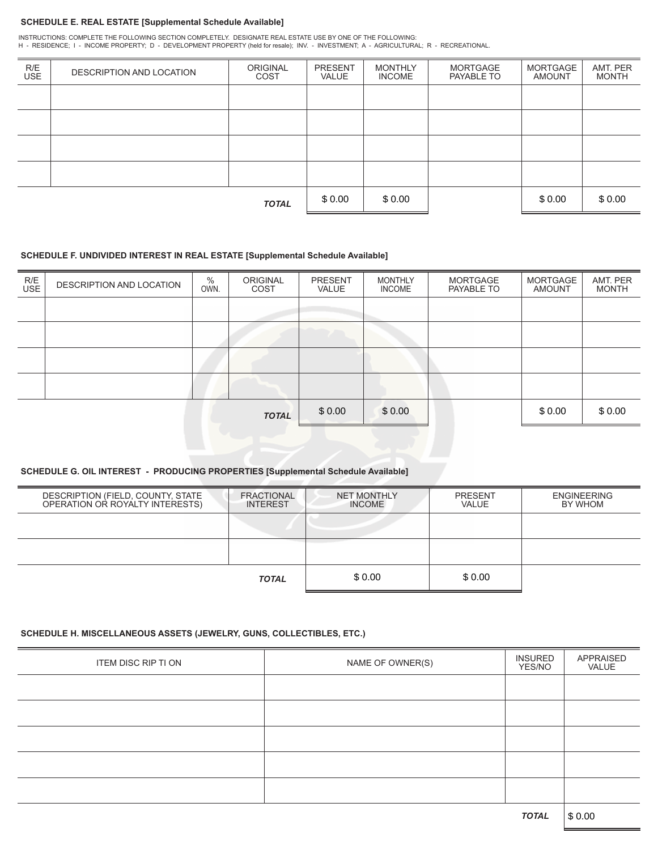#### **SCHEDULE E. REAL ESTATE [Supplemental Schedule Available]**

INSTRUCTIONS: COMPLETE THE FOLLOWING SECTION COMPLETELY. DESIGNATE REAL ESTATE USE BY ONE OF THE FOLLOWING:<br>H - RESIDENCE; I - INCOME PROPERTY; D - DEVELOPMENT PROPERTY (held for resale); INV. - INVESTMENT; A

| R/E<br>USE   | DESCRIPTION AND LOCATION | <b>ORIGINAL</b><br>COST | <b>PRESENT</b><br><b>VALUE</b> | <b>MONTHLY</b><br><b>INCOME</b> | MORTGAGE<br>PAYABLE TO | MORTGAGE<br><b>AMOUNT</b> | AMT. PER<br><b>MONTH</b> |
|--------------|--------------------------|-------------------------|--------------------------------|---------------------------------|------------------------|---------------------------|--------------------------|
|              |                          |                         |                                |                                 |                        |                           |                          |
|              |                          |                         |                                |                                 |                        |                           |                          |
|              |                          |                         |                                |                                 |                        |                           |                          |
|              |                          |                         |                                |                                 |                        |                           |                          |
| <b>TOTAL</b> |                          |                         | \$0.00                         | \$0.00                          |                        | \$0.00                    | \$0.00                   |

#### **SCHEDULE F. UNDIVIDED INTEREST IN REAL ESTATE [Supplemental Schedule Available]**

| R/E<br>USE | DESCRIPTION AND LOCATION | %<br>OWN. | <b>ORIGINAL</b><br>COST | <b>PRESENT</b><br>VALUE | <b>MONTHLY</b><br><b>INCOME</b> | <b>MORTGAGE</b><br>PAYABLE TO | MORTGAGE<br><b>AMOUNT</b> | AMT. PER<br><b>MONTH</b> |
|------------|--------------------------|-----------|-------------------------|-------------------------|---------------------------------|-------------------------------|---------------------------|--------------------------|
|            |                          |           |                         |                         |                                 |                               |                           |                          |
|            |                          |           |                         |                         |                                 |                               |                           |                          |
|            |                          |           |                         |                         |                                 |                               |                           |                          |
|            |                          |           |                         |                         |                                 |                               |                           |                          |
|            |                          |           | <b>TOTAL</b>            | \$0.00                  | \$0.00                          |                               | \$0.00                    | \$0.00                   |

## **SCHEDULE G. OIL INTEREST - PRODUCING PROPERTIES [Supplemental Schedule Available]**

| DESCRIPTION (FIELD, COUNTY, STATE<br>OPERATION OR ROYALTY INTERESTS) | <b>FRACTIONAL</b><br><b>INTEREST</b> | <b>NET MONTHLY</b><br><b>INCOME</b> | <b>PRESENT</b><br>VALUE | <b>ENGINEERING</b><br>BY WHOM |
|----------------------------------------------------------------------|--------------------------------------|-------------------------------------|-------------------------|-------------------------------|
|                                                                      |                                      |                                     |                         |                               |
|                                                                      |                                      |                                     |                         |                               |
|                                                                      | <b>TOTAL</b>                         | \$0.00                              | \$ 0.00                 |                               |

## **SCHEDULE H. MISCELLANEOUS ASSETS (JEWELRY, GUNS, COLLECTIBLES, ETC.)**

| ITEM DISC RIP TI ON | NAME OF OWNER(S) | <b>INSURED</b><br>YES/NO | APPRAISED<br>VALUE |
|---------------------|------------------|--------------------------|--------------------|
|                     |                  |                          |                    |
|                     |                  |                          |                    |
|                     |                  |                          |                    |
|                     |                  |                          |                    |
|                     |                  |                          |                    |
|                     |                  |                          |                    |